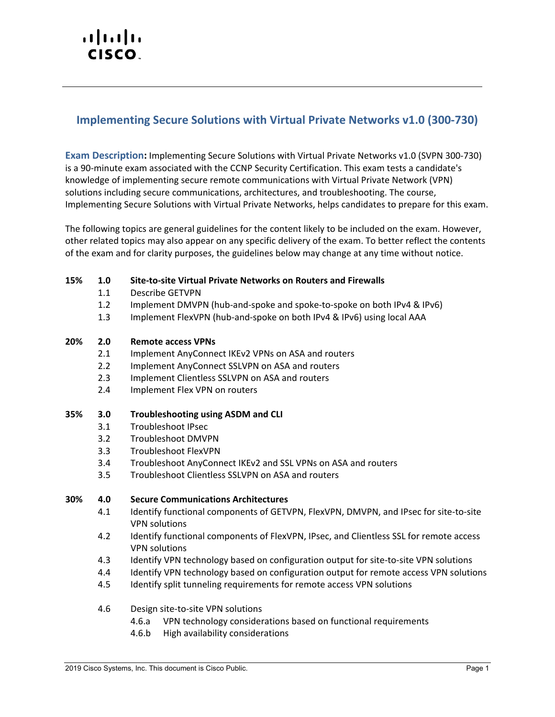# $\cdot$ l $\cdot$ l $\cdot$ l $\cdot$ **CISCO**

## **Implementing Secure Solutions with Virtual Private Networks v1.0 (300-730)**

**Exam Description:** Implementing Secure Solutions with Virtual Private Networks v1.0 (SVPN 300-730) is a 90-minute exam associated with the CCNP Security Certification. This exam tests a candidate's knowledge of implementing secure remote communications with Virtual Private Network (VPN) solutions including secure communications, architectures, and troubleshooting. The course, Implementing Secure Solutions with Virtual Private Networks, helps candidates to prepare for this exam.

The following topics are general guidelines for the content likely to be included on the exam. However, other related topics may also appear on any specific delivery of the exam. To better reflect the contents of the exam and for clarity purposes, the guidelines below may change at any time without notice.

### **15% 1.0 Site-to-site Virtual Private Networks on Routers and Firewalls**

- 1.1 Describe GETVPN
- 1.2 Implement DMVPN (hub-and-spoke and spoke-to-spoke on both IPv4 & IPv6)
- 1.3 Implement FlexVPN (hub-and-spoke on both IPv4 & IPv6) using local AAA

#### **20% 2.0 Remote access VPNs**

- 2.1 Implement AnyConnect IKEv2 VPNs on ASA and routers
- 2.2 Implement AnyConnect SSLVPN on ASA and routers
- 2.3 Implement Clientless SSLVPN on ASA and routers
- 2.4 Implement Flex VPN on routers

#### **35% 3.0 Troubleshooting using ASDM and CLI**

- 3.1 Troubleshoot IPsec
- 3.2 Troubleshoot DMVPN
- 3.3 Troubleshoot FlexVPN
- 3.4 Troubleshoot AnyConnect IKEv2 and SSL VPNs on ASA and routers
- 3.5 Troubleshoot Clientless SSLVPN on ASA and routers

#### **30% 4.0 Secure Communications Architectures**

- 4.1 Identify functional components of GETVPN, FlexVPN, DMVPN, and IPsec for site-to-site VPN solutions
- 4.2 Identify functional components of FlexVPN, IPsec, and Clientless SSL for remote access VPN solutions
- 4.3 Identify VPN technology based on configuration output for site-to-site VPN solutions
- 4.4 Identify VPN technology based on configuration output for remote access VPN solutions
- 4.5 Identify split tunneling requirements for remote access VPN solutions
- 4.6 Design site-to-site VPN solutions
	- 4.6.a VPN technology considerations based on functional requirements
	- 4.6.b High availability considerations